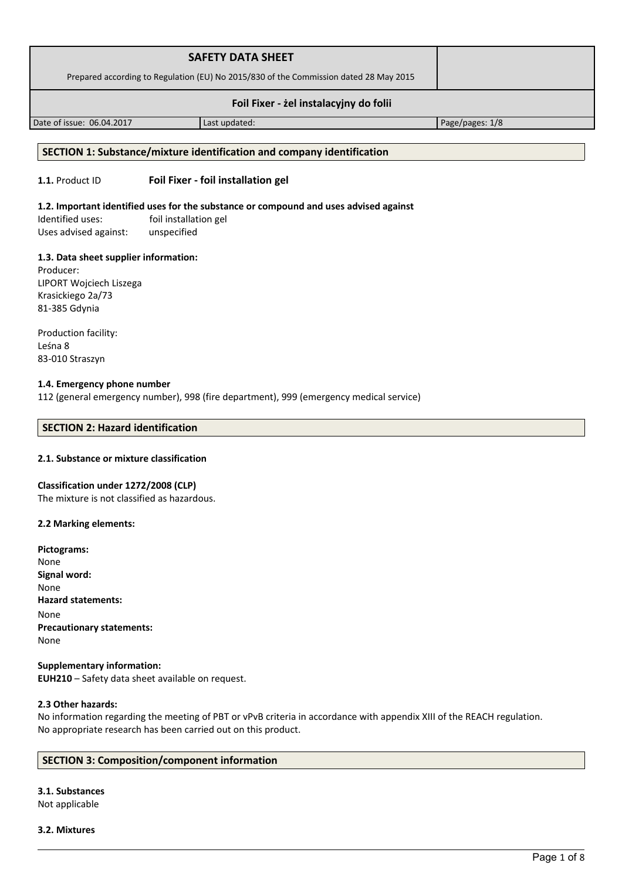|                                        | <b>SAFETY DATA SHEET</b>                                                              |                 |
|----------------------------------------|---------------------------------------------------------------------------------------|-----------------|
|                                        | Prepared according to Regulation (EU) No 2015/830 of the Commission dated 28 May 2015 |                 |
| Foil Fixer - żel instalacyjny do folii |                                                                                       |                 |
| Date of issue: 06.04.2017              | Last updated:                                                                         | Page/pages: 1/8 |

#### **SECTION 1: Substance/mixture identification and company identification**

## **1.1.** Product ID **Foil Fixer - foil installation gel**

## **1.2. Important identified uses for the substance or compound and uses advised against**

Identified uses: foil installation gel Uses advised against: unspecified

#### **1.3. Data sheet supplier information:**

Producer: LIPORT Wojciech Liszega Krasickiego 2a/73 81-385 Gdynia

Production facility: Leśna 8 83-010 Straszyn

### **1.4. Emergency phone number**

112 (general emergency number), 998 (fire department), 999 (emergency medical service)

## **SECTION 2: Hazard identification**

## **2.1. Substance or mixture classification**

#### **Classification under 1272/2008 (CLP)**

The mixture is not classified as hazardous.

#### **2.2 Marking elements:**

| Pictograms:                      |
|----------------------------------|
| None                             |
| Signal word:                     |
| None                             |
| <b>Hazard statements:</b>        |
| None                             |
| <b>Precautionary statements:</b> |
| None                             |
|                                  |

#### **Supplementary information: EUH210** – Safety data sheet available on request.

#### **2.3 Other hazards:**

No information regarding the meeting of PBT or vPvB criteria in accordance with appendix XIII of the REACH regulation. No appropriate research has been carried out on this product.

#### **SECTION 3: Composition/component information**

# **3.1. Substances**

Not applicable

**3.2. Mixtures**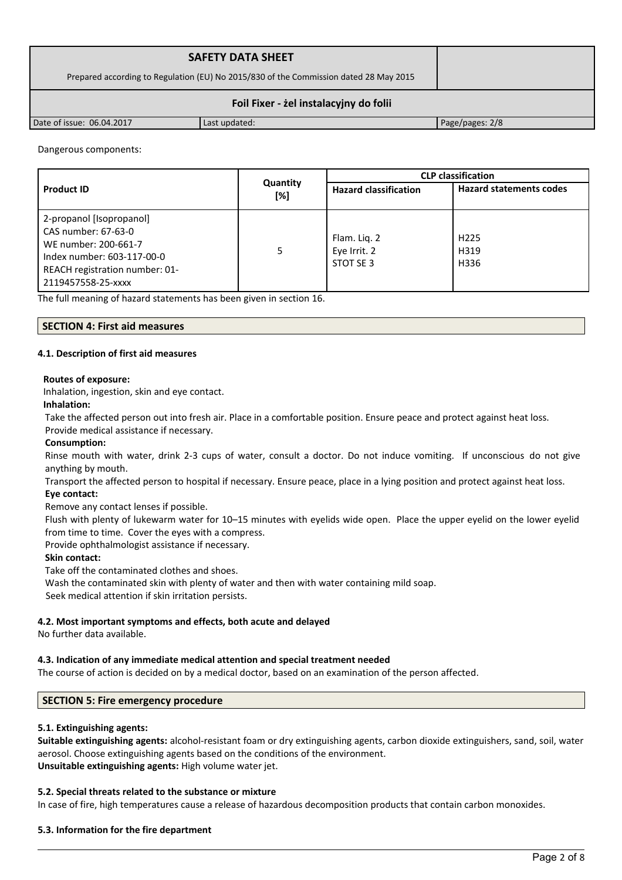|                                        | <b>SAFETY DATA SHEET</b>                                                              |                 |  |
|----------------------------------------|---------------------------------------------------------------------------------------|-----------------|--|
|                                        | Prepared according to Regulation (EU) No 2015/830 of the Commission dated 28 May 2015 |                 |  |
| Foil Fixer - żel instalacyjny do folii |                                                                                       |                 |  |
| Date of issue: 06.04.2017              | Last updated:                                                                         | Page/pages: 2/8 |  |

#### Dangerous components:

|                                                                                                                                                               |                 |                                           | <b>CLP</b> classification        |
|---------------------------------------------------------------------------------------------------------------------------------------------------------------|-----------------|-------------------------------------------|----------------------------------|
| <b>Product ID</b>                                                                                                                                             | Quantity<br>[%] | <b>Hazard classification</b>              | <b>Hazard statements codes</b>   |
| 2-propanol [Isopropanol]<br>CAS number: 67-63-0<br>WE number: 200-661-7<br>Index number: 603-117-00-0<br>REACH registration number: 01-<br>2119457558-25-xxxx | 5               | Flam. Lig. 2<br>Eye Irrit. 2<br>STOT SE 3 | H <sub>225</sub><br>H319<br>H336 |

The full meaning of hazard statements has been given in section 16.

#### **SECTION 4: First aid measures**

#### **4.1. Description of first aid measures**

#### **Routes of exposure:**

Inhalation, ingestion, skin and eye contact.

#### **Inhalation:**

Take the affected person out into fresh air. Place in a comfortable position. Ensure peace and protect against heat loss. Provide medical assistance if necessary.

#### **Consumption:**

Rinse mouth with water, drink 2-3 cups of water, consult a doctor. Do not induce vomiting. If unconscious do not give anything by mouth.

Transport the affected person to hospital if necessary. Ensure peace, place in a lying position and protect against heat loss.

#### **Eye contact:**

Remove any contact lenses if possible.

Flush with plenty of lukewarm water for 10–15 minutes with eyelids wide open. Place the upper eyelid on the lower eyelid from time to time. Cover the eyes with a compress.

Provide ophthalmologist assistance if necessary.

#### **Skin contact:**

Take off the contaminated clothes and shoes.

Wash the contaminated skin with plenty of water and then with water containing mild soap. Seek medical attention if skin irritation persists.

## **4.2. Most important symptoms and effects, both acute and delayed**

No further data available.

# **4.3. Indication of any immediate medical attention and special treatment needed**

The course of action is decided on by a medical doctor, based on an examination of the person affected.

# **SECTION 5: Fire emergency procedure**

# **5.1. Extinguishing agents:**

**Suitable extinguishing agents:** alcohol-resistant foam or dry extinguishing agents, carbon dioxide extinguishers, sand, soil, water aerosol. Choose extinguishing agents based on the conditions of the environment. **Unsuitable extinguishing agents:** High volume water jet.

# **5.2. Special threats related to the substance or mixture**

In case of fire, high temperatures cause a release of hazardous decomposition products that contain carbon monoxides.

# **5.3. Information for the fire department**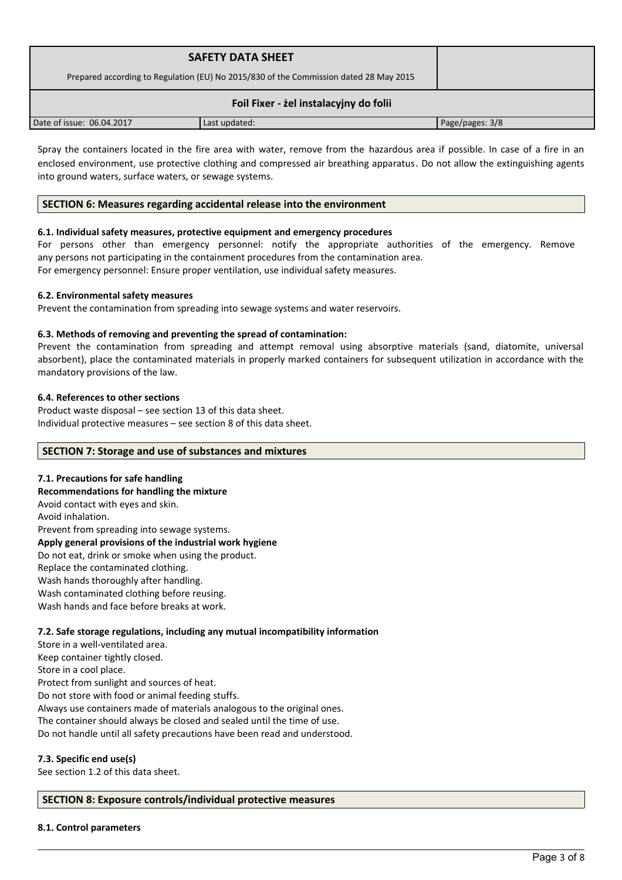|                                        | <b>SAFETY DATA SHEET</b><br>Prepared according to Regulation (EU) No 2015/830 of the Commission dated 28 May 2015 |                 |  |
|----------------------------------------|-------------------------------------------------------------------------------------------------------------------|-----------------|--|
| Foil Fixer - żel instalacyjny do folii |                                                                                                                   |                 |  |
| Date of issue: 06.04.2017              | Last updated:                                                                                                     | Page/pages: 3/8 |  |

Spray the containers located in the fire area with water, remove from the hazardous area if possible. In case of a fire in an enclosed environment, use protective clothing and compressed air breathing apparatus. Do not allow the extinguishing agents into ground waters, surface waters, or sewage systems.

#### **SECTION 6: Measures regarding accidental release into the environment**

#### **6.1. Individual safety measures, protective equipment and emergency procedures**

For persons other than emergency personnel: notify the appropriate authorities of the emergency. Remove any persons not participating in the containment procedures from the contamination area. For emergency personnel: Ensure proper ventilation, use individual safety measures.

## **6.2. Environmental safety measures**

Prevent the contamination from spreading into sewage systems and water reservoirs.

## **6.3. Methods of removing and preventing the spread of contamination:**

Prevent the contamination from spreading and attempt removal using absorptive materials (sand, diatomite, universal absorbent), place the contaminated materials in properly marked containers for subsequent utilization in accordance with the mandatory provisions of the law.

#### **6.4. References to other sections**

Product waste disposal – see section 13 of this data sheet. Individual protective measures – see section 8 of this data sheet.

#### **SECTION 7: Storage and use of substances and mixtures**

#### **7.1. Precautions for safe handling**

**Recommendations for handling the mixture**  Avoid contact with eyes and skin. Avoid inhalation. Prevent from spreading into sewage systems. **Apply general provisions of the industrial work hygiene**  Do not eat, drink or smoke when using the product. Replace the contaminated clothing. Wash hands thoroughly after handling. Wash contaminated clothing before reusing. Wash hands and face before breaks at work.

#### **7.2. Safe storage regulations, including any mutual incompatibility information**

Store in a well-ventilated area. Keep container tightly closed. Store in a cool place. Protect from sunlight and sources of heat. Do not store with food or animal feeding stuffs. Always use containers made of materials analogous to the original ones. The container should always be closed and sealed until the time of use. Do not handle until all safety precautions have been read and understood.

#### **7.3. Specific end use(s)**

See section 1.2 of this data sheet.

#### **SECTION 8: Exposure controls/individual protective measures**

#### **8.1. Control parameters**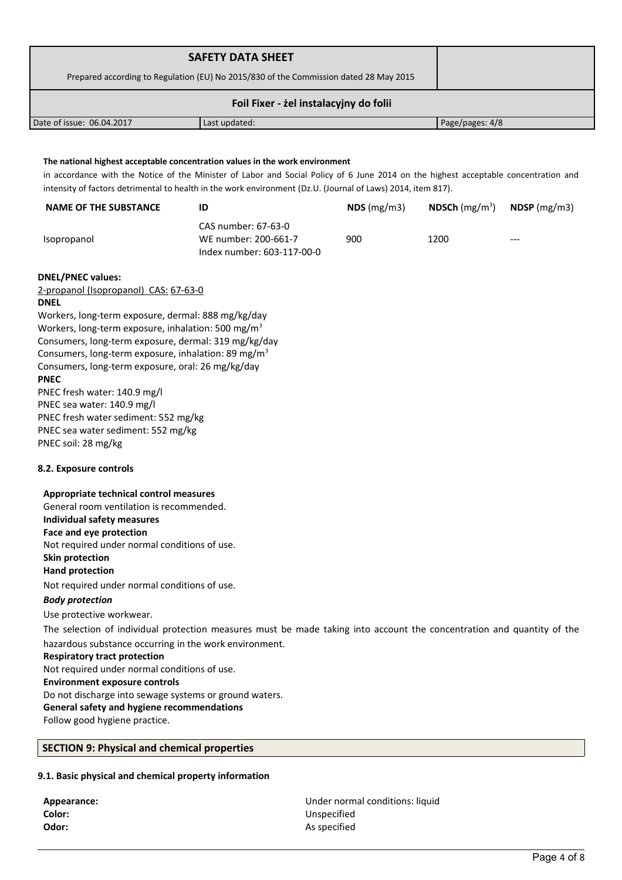| Prepared according to Regulation (EU) No 2015/830 of the Commission dated 28 May 2015<br>Foil Fixer - żel instalacyjny do folii<br>The national highest acceptable concentration values in the work environment<br>intensity of factors detrimental to health in the work environment (Dz.U. (Journal of Laws) 2014, item 817).<br>NDS(mg/m3)<br>900 | Page/pages: 4/8<br>in accordance with the Notice of the Minister of Labor and Social Policy of 6 June 2014 on the highest acceptable concentration and<br><b>NDSCh</b> $(mg/m3)$<br>1200 | $NDSP$ (mg/m3)                                                                                                         |
|------------------------------------------------------------------------------------------------------------------------------------------------------------------------------------------------------------------------------------------------------------------------------------------------------------------------------------------------------|------------------------------------------------------------------------------------------------------------------------------------------------------------------------------------------|------------------------------------------------------------------------------------------------------------------------|
|                                                                                                                                                                                                                                                                                                                                                      |                                                                                                                                                                                          |                                                                                                                        |
|                                                                                                                                                                                                                                                                                                                                                      |                                                                                                                                                                                          |                                                                                                                        |
|                                                                                                                                                                                                                                                                                                                                                      |                                                                                                                                                                                          |                                                                                                                        |
|                                                                                                                                                                                                                                                                                                                                                      |                                                                                                                                                                                          |                                                                                                                        |
|                                                                                                                                                                                                                                                                                                                                                      |                                                                                                                                                                                          |                                                                                                                        |
|                                                                                                                                                                                                                                                                                                                                                      |                                                                                                                                                                                          |                                                                                                                        |
|                                                                                                                                                                                                                                                                                                                                                      |                                                                                                                                                                                          |                                                                                                                        |
|                                                                                                                                                                                                                                                                                                                                                      |                                                                                                                                                                                          |                                                                                                                        |
|                                                                                                                                                                                                                                                                                                                                                      |                                                                                                                                                                                          |                                                                                                                        |
|                                                                                                                                                                                                                                                                                                                                                      |                                                                                                                                                                                          |                                                                                                                        |
|                                                                                                                                                                                                                                                                                                                                                      |                                                                                                                                                                                          |                                                                                                                        |
|                                                                                                                                                                                                                                                                                                                                                      |                                                                                                                                                                                          |                                                                                                                        |
|                                                                                                                                                                                                                                                                                                                                                      |                                                                                                                                                                                          |                                                                                                                        |
|                                                                                                                                                                                                                                                                                                                                                      |                                                                                                                                                                                          |                                                                                                                        |
|                                                                                                                                                                                                                                                                                                                                                      |                                                                                                                                                                                          |                                                                                                                        |
|                                                                                                                                                                                                                                                                                                                                                      |                                                                                                                                                                                          | The selection of individual protection measures must be made taking into account the concentration and quantity of the |

# **9.1. Basic physical and chemical property information**

| Appearance: |
|-------------|
| Color:      |
| Odor:       |

**Appearance:** Under normal conditions: liquid **Color:** Unspecified **Odor:** As specified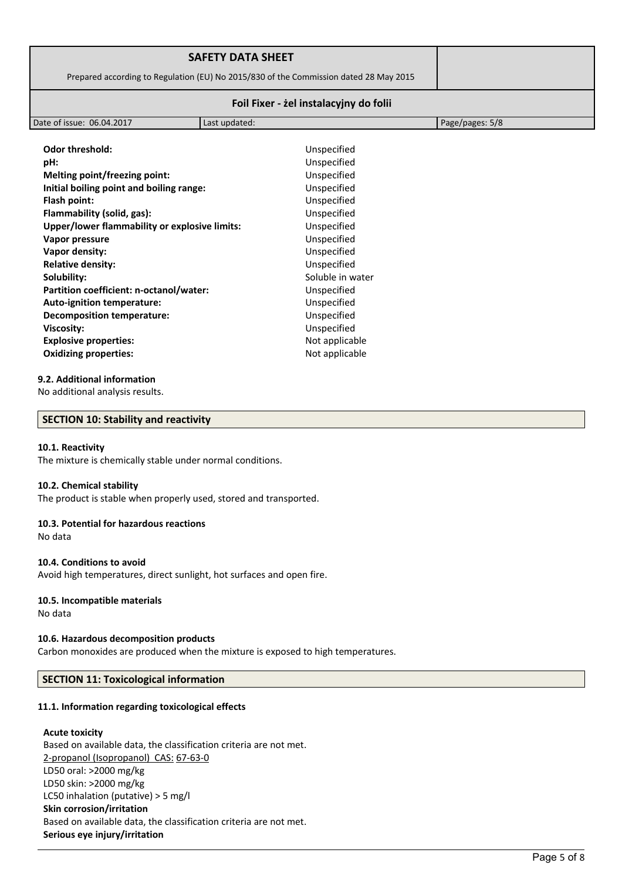|                           | <b>SAFETY DATA SHEET</b>                                                              |                 |  |
|---------------------------|---------------------------------------------------------------------------------------|-----------------|--|
|                           | Prepared according to Regulation (EU) No 2015/830 of the Commission dated 28 May 2015 |                 |  |
|                           | Foil Fixer - żel instalacyjny do folii                                                |                 |  |
| Date of issue: 06.04.2017 | Last updated:                                                                         | Page/pages: 5/8 |  |

| <b>Odor threshold:</b>                        | Unspecified      |
|-----------------------------------------------|------------------|
| pH:                                           | Unspecified      |
| Melting point/freezing point:                 | Unspecified      |
| Initial boiling point and boiling range:      | Unspecified      |
| Flash point:                                  | Unspecified      |
| Flammability (solid, gas):                    | Unspecified      |
| Upper/lower flammability or explosive limits: | Unspecified      |
| Vapor pressure                                | Unspecified      |
| Vapor density:                                | Unspecified      |
| <b>Relative density:</b>                      | Unspecified      |
| Solubility:                                   | Soluble in water |
| Partition coefficient: n-octanol/water:       | Unspecified      |
| Auto-ignition temperature:                    | Unspecified      |
| <b>Decomposition temperature:</b>             | Unspecified      |
| <b>Viscosity:</b>                             | Unspecified      |
| <b>Explosive properties:</b>                  | Not applicable   |
| <b>Oxidizing properties:</b>                  | Not applicable   |
|                                               |                  |

## **9.2. Additional information**

No additional analysis results.

#### **SECTION 10: Stability and reactivity**

#### **10.1. Reactivity**

The mixture is chemically stable under normal conditions.

#### **10.2. Chemical stability**

The product is stable when properly used, stored and transported.

#### **10.3. Potential for hazardous reactions**

No data

#### **10.4. Conditions to avoid**

Avoid high temperatures, direct sunlight, hot surfaces and open fire.

#### **10.5. Incompatible materials**

No data

# **10.6. Hazardous decomposition products**

Carbon monoxides are produced when the mixture is exposed to high temperatures.

# **SECTION 11: Toxicological information**

# **11.1. Information regarding toxicological effects**

# **Acute toxicity**

Based on available data, the classification criteria are not met. 2-propanol (Isopropanol) CAS: 67-63-0 LD50 oral: >2000 mg/kg LD50 skin: >2000 mg/kg LC50 inhalation (putative) > 5 mg/l **Skin corrosion/irritation** Based on available data, the classification criteria are not met. **Serious eye injury/irritation**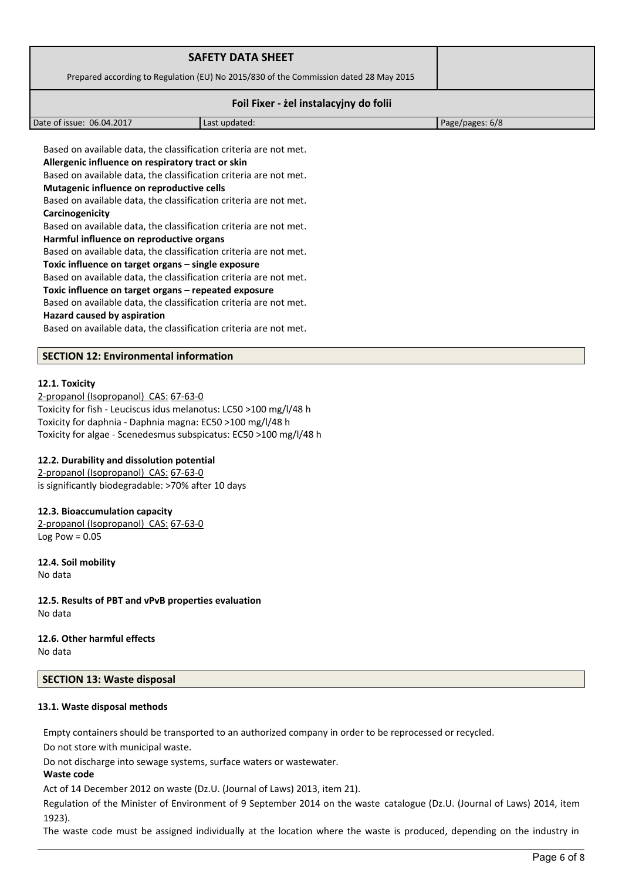|                                                                                                                                                                                                                                                                                                                                                                                                                                                                                                                                                                              | <b>SAFETY DATA SHEET</b>                                                              |                 |
|------------------------------------------------------------------------------------------------------------------------------------------------------------------------------------------------------------------------------------------------------------------------------------------------------------------------------------------------------------------------------------------------------------------------------------------------------------------------------------------------------------------------------------------------------------------------------|---------------------------------------------------------------------------------------|-----------------|
|                                                                                                                                                                                                                                                                                                                                                                                                                                                                                                                                                                              | Prepared according to Regulation (EU) No 2015/830 of the Commission dated 28 May 2015 |                 |
|                                                                                                                                                                                                                                                                                                                                                                                                                                                                                                                                                                              | Foil Fixer - żel instalacyjny do folii                                                |                 |
| Date of issue: 06.04.2017                                                                                                                                                                                                                                                                                                                                                                                                                                                                                                                                                    | Last updated:                                                                         | Page/pages: 6/8 |
| Based on available data, the classification criteria are not met.<br>Allergenic influence on respiratory tract or skin<br>Based on available data, the classification criteria are not met.<br>Mutagenic influence on reproductive cells<br>Based on available data, the classification criteria are not met.<br>Carcinogenicity<br>Based on available data, the classification criteria are not met.<br>Harmful influence on reproductive organs<br>Based on available data, the classification criteria are not met.<br>Toxic influence on target organs – single exposure |                                                                                       |                 |

Based on available data, the classification criteria are not met. **Toxic influence on target organs – repeated exposure**

Based on available data, the classification criteria are not met.

**Hazard caused by aspiration**

Based on available data, the classification criteria are not met.

## **SECTION 12: Environmental information**

#### **12.1. Toxicity**

 2-propanol (Isopropanol) CAS: 67-63-0 Toxicity for fish - Leuciscus idus melanotus: LC50 >100 mg/l/48 h Toxicity for daphnia - Daphnia magna: EC50 >100 mg/l/48 h Toxicity for algae - Scenedesmus subspicatus: EC50 >100 mg/l/48 h

# **12.2. Durability and dissolution potential**

 2-propanol (Isopropanol) CAS: 67-63-0 is significantly biodegradable: >70% after 10 days

#### **12.3. Bioaccumulation capacity**

 2-propanol (Isopropanol) CAS: 67-63-0 Log Pow  $= 0.05$ 

**12.4. Soil mobility** No data

**12.5. Results of PBT and vPvB properties evaluation** No data

**12.6. Other harmful effects** No data

# **SECTION 13: Waste disposal**

#### **13.1. Waste disposal methods**

Empty containers should be transported to an authorized company in order to be reprocessed or recycled.

Do not store with municipal waste.

Do not discharge into sewage systems, surface waters or wastewater.

## **Waste code**

Act of 14 December 2012 on waste (Dz.U. (Journal of Laws) 2013, item 21).

Regulation of the Minister of Environment of 9 September 2014 on the waste catalogue (Dz.U. (Journal of Laws) 2014, item 1923).

The waste code must be assigned individually at the location where the waste is produced, depending on the industry in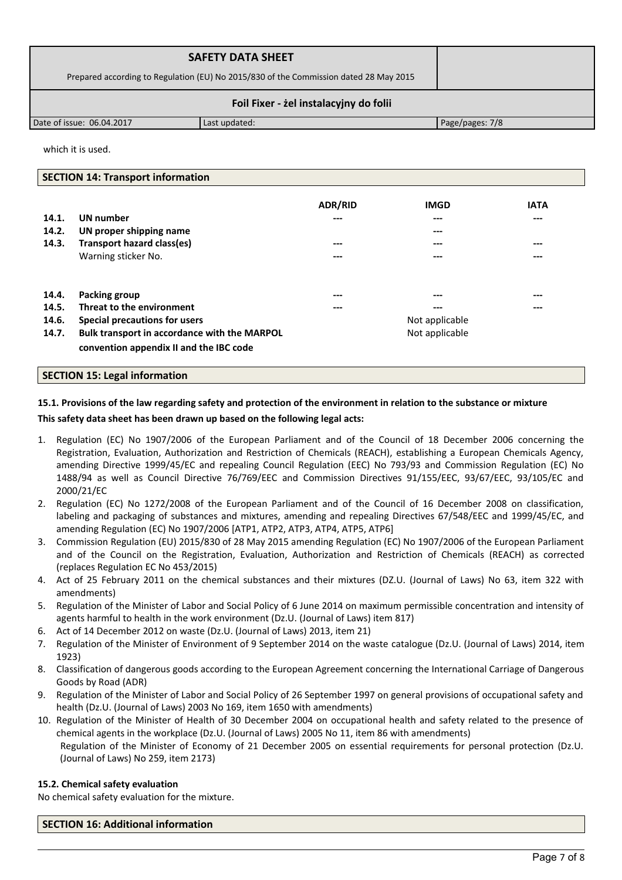|                                        | <b>SAFETY DATA SHEET</b>                                                              |                 |  |
|----------------------------------------|---------------------------------------------------------------------------------------|-----------------|--|
|                                        | Prepared according to Regulation (EU) No 2015/830 of the Commission dated 28 May 2015 |                 |  |
| Foil Fixer - żel instalacyjny do folii |                                                                                       |                 |  |
| Date of issue: 06.04.2017              | Last updated:                                                                         | Page/pages: 7/8 |  |

which it is used.

#### **SECTION 14: Transport information**

|       |                                              | <b>ADR/RID</b> | <b>IMGD</b>    | <b>IATA</b> |
|-------|----------------------------------------------|----------------|----------------|-------------|
| 14.1. | <b>UN</b> number                             |                | $---$          | ---         |
| 14.2. | UN proper shipping name                      |                | $---$          |             |
| 14.3. | <b>Transport hazard class(es)</b>            | ---            | $---$          | $---$       |
|       | Warning sticker No.                          |                | ---            | ---         |
| 14.4. | Packing group                                | ---            | ---            | ---         |
| 14.5. | Threat to the environment                    | ---            | $---$          | $---$       |
| 14.6. | Special precautions for users                |                | Not applicable |             |
| 14.7. | Bulk transport in accordance with the MARPOL |                | Not applicable |             |
|       | convention appendix II and the IBC code      |                |                |             |

#### **SECTION 15: Legal information**

# **15.1. Provisions of the law regarding safety and protection of the environment in relation to the substance or mixture**

## **This safety data sheet has been drawn up based on the following legal acts:**

- 1. Regulation (EC) No 1907/2006 of the European Parliament and of the Council of 18 December 2006 concerning the Registration, Evaluation, Authorization and Restriction of Chemicals (REACH), establishing a European Chemicals Agency, amending Directive 1999/45/EC and repealing Council Regulation (EEC) No 793/93 and Commission Regulation (EC) No 1488/94 as well as Council Directive 76/769/EEC and Commission Directives 91/155/EEC, 93/67/EEC, 93/105/EC and 2000/21/EC
- 2. Regulation (EC) No 1272/2008 of the European Parliament and of the Council of 16 December 2008 on classification, labeling and packaging of substances and mixtures, amending and repealing Directives 67/548/EEC and 1999/45/EC, and amending Regulation (EC) No 1907/2006 [ATP1, ATP2, ATP3, ATP4, ATP5, ATP6]
- 3. Commission Regulation (EU) 2015/830 of 28 May 2015 amending Regulation (EC) No 1907/2006 of the European Parliament and of the Council on the Registration, Evaluation, Authorization and Restriction of Chemicals (REACH) as corrected (replaces Regulation EC No 453/2015)
- 4. Act of 25 February 2011 on the chemical substances and their mixtures (DZ.U. (Journal of Laws) No 63, item 322 with amendments)
- 5. Regulation of the Minister of Labor and Social Policy of 6 June 2014 on maximum permissible concentration and intensity of agents harmful to health in the work environment (Dz.U. (Journal of Laws) item 817)
- 6. Act of 14 December 2012 on waste (Dz.U. (Journal of Laws) 2013, item 21)
- 7. Regulation of the Minister of Environment of 9 September 2014 on the waste catalogue (Dz.U. (Journal of Laws) 2014, item 1923)
- 8. Classification of dangerous goods according to the European Agreement concerning the International Carriage of Dangerous Goods by Road (ADR)
- 9. Regulation of the Minister of Labor and Social Policy of 26 September 1997 on general provisions of occupational safety and health (Dz.U. (Journal of Laws) 2003 No 169, item 1650 with amendments)
- 10. Regulation of the Minister of Health of 30 December 2004 on occupational health and safety related to the presence of chemical agents in the workplace (Dz.U. (Journal of Laws) 2005 No 11, item 86 with amendments) Regulation of the Minister of Economy of 21 December 2005 on essential requirements for personal protection (Dz.U. (Journal of Laws) No 259, item 2173)

#### **15.2. Chemical safety evaluation**

No chemical safety evaluation for the mixture.

**SECTION 16: Additional information**